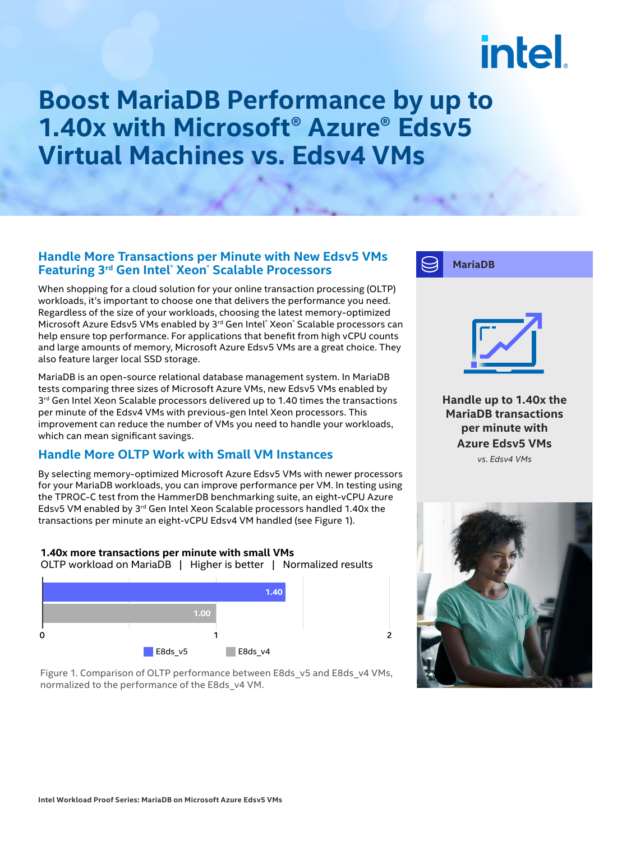# intel.

### **Boost MariaDB Performance by up to 1.40x with Microsoft® Azure® Edsv5 Virtual Machines vs. Edsv4 VMs**

### **Handle More Transactions per Minute with New Edsv5 VMs Featuring 3rd Gen Intel® Xeon® Scalable Processors**

When shopping for a cloud solution for your online transaction processing (OLTP) workloads, it's important to choose one that delivers the performance you need. Regardless of the size of your workloads, choosing the latest memory-optimized Microsoft Azure Edsv5 VMs enabled by 3rd Gen Intel® Xeon® Scalable processors can help ensure top performance. For applications that benefit from high vCPU counts and large amounts of memory, Microsoft Azure Edsv5 VMs are a great choice. They also feature larger local SSD storage.

MariaDB is an open-source relational database management system. In MariaDB tests comparing three sizes of Microsoft Azure VMs, new Edsv5 VMs enabled by  $3<sup>rd</sup>$  Gen Intel Xeon Scalable processors delivered up to 1.40 times the transactions per minute of the Edsv4 VMs with previous-gen Intel Xeon processors. This improvement can reduce the number of VMs you need to handle your workloads, which can mean significant savings.

### **Handle More OLTP Work with Small VM Instances**

By selecting memory-optimized Microsoft Azure Edsv5 VMs with newer processors for your MariaDB workloads, you can improve performance per VM. In testing using the TPROC-C test from the HammerDB benchmarking suite, an eight-vCPU Azure Edsv5 VM enabled by 3<sup>rd</sup> Gen Intel Xeon Scalable processors handled 1.40x the transactions per minute an eight-vCPU Edsv4 VM handled (see Figure 1).





Figure 1. Comparison of OLTP performance between E8ds\_v5 and E8ds\_v4 VMs, normalized to the performance of the E8ds\_v4 VM.



**MariaDB**

**Handle up to 1.40x the MariaDB transactions per minute with Azure Edsv5 VMs** *vs. Edsv4 VMs*